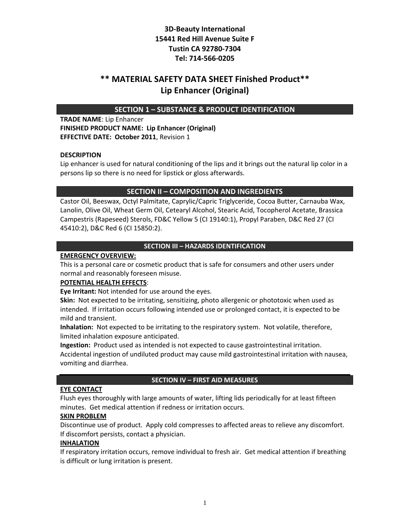# **\*\* MATERIAL SAFETY DATA SHEET Finished Product\*\* Lip Enhancer (Original)**

## **SECTION 1 – SUBSTANCE & PRODUCT IDENTIFICATION**

**TRADE NAME**: Lip Enhancer **FINISHED PRODUCT NAME: Lip Enhancer (Original) EFFECTIVE DATE: October 2011**, Revision 1

### **DESCRIPTION**

Lip enhancer is used for natural conditioning of the lips and it brings out the natural lip color in a persons lip so there is no need for lipstick or gloss afterwards.

## **SECTION II – COMPOSITION AND INGREDIENTS**

Castor Oil, Beeswax, Octyl Palmitate, Caprylic/Capric Triglyceride, Cocoa Butter, Carnauba Wax, Lanolin, Olive Oil, Wheat Germ Oil, Cetearyl Alcohol, Stearic Acid, Tocopherol Acetate, Brassica Campestris (Rapeseed) Sterols, FD&C Yellow 5 (CI 19140:1), Propyl Paraben, D&C Red 27 (CI 45410:2), D&C Red 6 (CI 15850:2).

### **SECTION III – HAZARDS IDENTIFICATION**

### **EMERGENCY OVERVIEW:**

This is a personal care or cosmetic product that is safe for consumers and other users under normal and reasonably foreseen misuse.

### **POTENTIAL HEALTH EFFECTS**:

**Eye Irritant:** Not intended for use around the eyes.

**Skin:** Not expected to be irritating, sensitizing, photo allergenic or phototoxic when used as intended. If irritation occurs following intended use or prolonged contact, it is expected to be mild and transient.

**Inhalation:** Not expected to be irritating to the respiratory system. Not volatile, therefore, limited inhalation exposure anticipated.

**Ingestion:** Product used as intended is not expected to cause gastrointestinal irritation. Accidental ingestion of undiluted product may cause mild gastrointestinal irritation with nausea, vomiting and diarrhea.

### **SECTION IV – FIRST AID MEASURES**

#### **EYE CONTACT**

Flush eyes thoroughly with large amounts of water, lifting lids periodically for at least fifteen minutes. Get medical attention if redness or irritation occurs.

### **SKIN PROBLEM**

Discontinue use of product. Apply cold compresses to affected areas to relieve any discomfort. If discomfort persists, contact a physician.

### **INHALATION**

If respiratory irritation occurs, remove individual to fresh air. Get medical attention if breathing is difficult or lung irritation is present.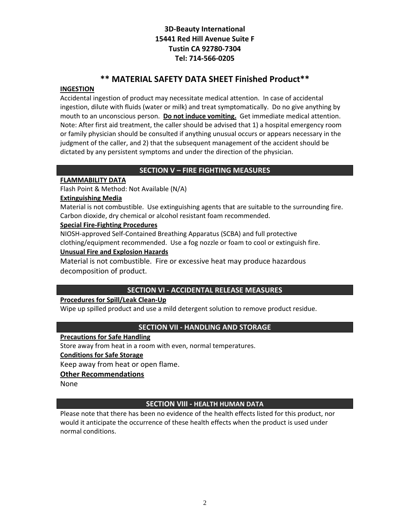# **\*\* MATERIAL SAFETY DATA SHEET Finished Product\*\***

## **INGESTION**

Accidental ingestion of product may necessitate medical attention. In case of accidental ingestion, dilute with fluids (water or milk) and treat symptomatically. Do no give anything by mouth to an unconscious person. **Do not induce vomiting.** Get immediate medical attention. Note: After first aid treatment, the caller should be advised that 1) a hospital emergency room or family physician should be consulted if anything unusual occurs or appears necessary in the judgment of the caller, and 2) that the subsequent management of the accident should be dictated by any persistent symptoms and under the direction of the physician.

## **SECTION V – FIRE FIGHTING MEASURES**

## **FLAMMABILITY DATA**

Flash Point & Method: Not Available (N/A)

## **Extinguishing Media**

Material is not combustible. Use extinguishing agents that are suitable to the surrounding fire. Carbon dioxide, dry chemical or alcohol resistant foam recommended.

## **Special Fire‐Fighting Procedures**

NIOSH‐approved Self‐Contained Breathing Apparatus (SCBA) and full protective clothing/equipment recommended. Use a fog nozzle or foam to cool or extinguish fire.

## **Unusual Fire and Explosion Hazards**

Material is not combustible. Fire or excessive heat may produce hazardous decomposition of product.

## **SECTION VI ‐ ACCIDENTAL RELEASE MEASURES**

## **Procedures for Spill/Leak Clean‐Up**

Wipe up spilled product and use a mild detergent solution to remove product residue.

## **SECTION VII ‐ HANDLING AND STORAGE**

### **Precautions for Safe Handling**

Store away from heat in a room with even, normal temperatures.

## **Conditions for Safe Storage**

Keep away from heat or open flame.

## **Other Recommendations**

None

## **SECTION VIII ‐ HEALTH HUMAN DATA**

Please note that there has been no evidence of the health effects listed for this product, nor would it anticipate the occurrence of these health effects when the product is used under normal conditions.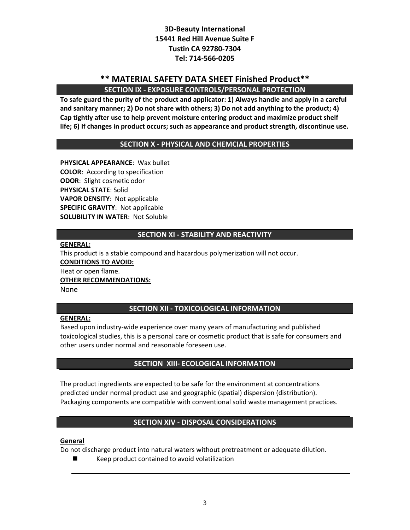# **\*\* MATERIAL SAFETY DATA SHEET Finished Product\*\* SECTION IX ‐ EXPOSURE CONTROLS/PERSONAL PROTECTION**

**To safe guard the purity of the product and applicator: 1) Always handle and apply in a careful and sanitary manner; 2) Do not share with others; 3) Do not add anything to the product; 4) Cap tightly after use to help prevent moisture entering product and maximize product shelf life; 6) If changes in product occurs; such as appearance and product strength, discontinue use.**

## **SECTION X ‐ PHYSICAL AND CHEMCIAL PROPERTIES**

**PHYSICAL APPEARANCE**: Wax bullet **COLOR**: According to specification **ODOR**: Slight cosmetic odor **PHYSICAL STATE**: Solid **VAPOR DENSITY**: Not applicable **SPECIFIC GRAVITY**: Not applicable **SOLUBILITY IN WATER**: Not Soluble

### **SECTION XI ‐ STABILITY AND REACTIVITY**

**GENERAL:**

This product is a stable compound and hazardous polymerization will not occur. **CONDITIONS TO AVOID:** Heat or open flame. **OTHER RECOMMENDATIONS:** None

### **SECTION XII ‐ TOXICOLOGICAL INFORMATION**

### **GENERAL:**

Based upon industry‐wide experience over many years of manufacturing and published toxicological studies, this is a personal care or cosmetic product that is safe for consumers and other users under normal and reasonable foreseen use.

### **SECTION XIII‐ ECOLOGICAL INFORMATION**

The product ingredients are expected to be safe for the environment at concentrations predicted under normal product use and geographic (spatial) dispersion (distribution). Packaging components are compatible with conventional solid waste management practices.

### **SECTION XIV ‐ DISPOSAL CONSIDERATIONS**

#### **General**

Do not discharge product into natural waters without pretreatment or adequate dilution.

Keep product contained to avoid volatilization